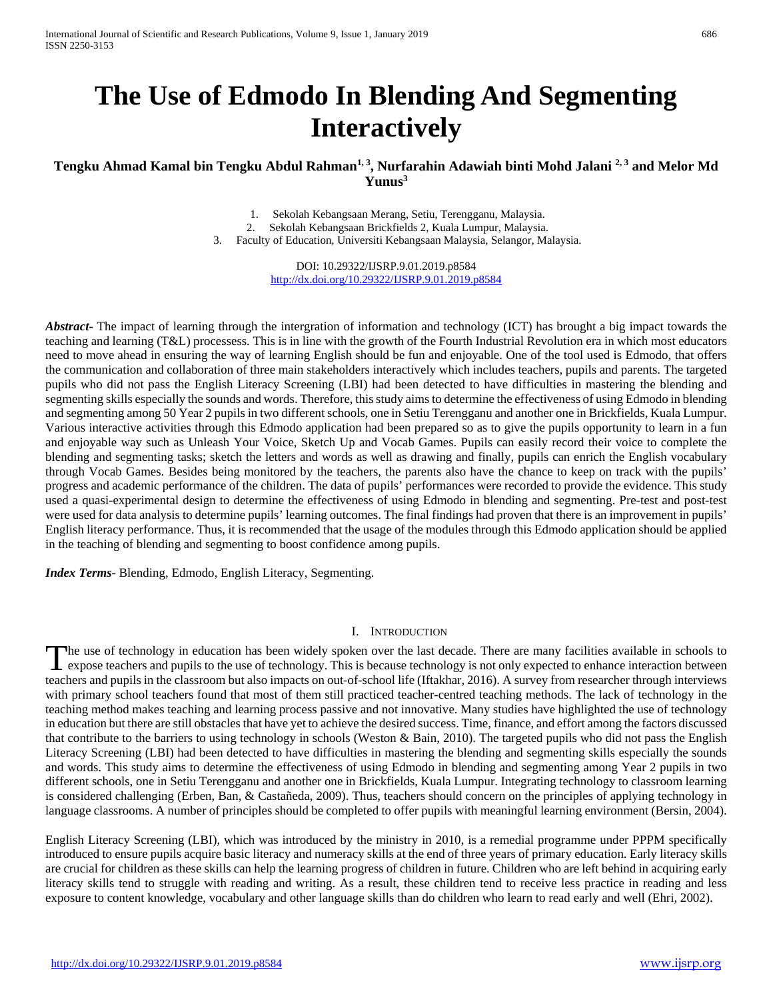# **The Use of Edmodo In Blending And Segmenting Interactively**

# **Tengku Ahmad Kamal bin Tengku Abdul Rahman1, 3, Nurfarahin Adawiah binti Mohd Jalani 2, 3 and Melor Md Yunus3**

1. Sekolah Kebangsaan Merang, Setiu, Terengganu, Malaysia. 2. Sekolah Kebangsaan Brickfields 2, Kuala Lumpur, Malaysia.

3. Faculty of Education, Universiti Kebangsaan Malaysia, Selangor, Malaysia.

DOI: 10.29322/IJSRP.9.01.2019.p8584 <http://dx.doi.org/10.29322/IJSRP.9.01.2019.p8584>

*Abstract***-** The impact of learning through the intergration of information and technology (ICT) has brought a big impact towards the teaching and learning (T&L) processess. This is in line with the growth of the Fourth Industrial Revolution era in which most educators need to move ahead in ensuring the way of learning English should be fun and enjoyable. One of the tool used is Edmodo, that offers the communication and collaboration of three main stakeholders interactively which includes teachers, pupils and parents. The targeted pupils who did not pass the English Literacy Screening (LBI) had been detected to have difficulties in mastering the blending and segmenting skills especially the sounds and words. Therefore, this study aims to determine the effectiveness of using Edmodo in blending and segmenting among 50 Year 2 pupils in two different schools, one in Setiu Terengganu and another one in Brickfields, Kuala Lumpur. Various interactive activities through this Edmodo application had been prepared so as to give the pupils opportunity to learn in a fun and enjoyable way such as Unleash Your Voice, Sketch Up and Vocab Games. Pupils can easily record their voice to complete the blending and segmenting tasks; sketch the letters and words as well as drawing and finally, pupils can enrich the English vocabulary through Vocab Games. Besides being monitored by the teachers, the parents also have the chance to keep on track with the pupils' progress and academic performance of the children. The data of pupils' performances were recorded to provide the evidence. This study used a quasi-experimental design to determine the effectiveness of using Edmodo in blending and segmenting. Pre-test and post-test were used for data analysis to determine pupils' learning outcomes. The final findings had proven that there is an improvement in pupils' English literacy performance. Thus, it is recommended that the usage of the modules through this Edmodo application should be applied in the teaching of blending and segmenting to boost confidence among pupils.

*Index Terms*- Blending, Edmodo, English Literacy, Segmenting.

#### I. INTRODUCTION

he use of technology in education has been widely spoken over the last decade. There are many facilities available in schools to The use of technology in education has been widely spoken over the last decade. There are many facilities available in schools to expose teachers and pupils to the use of technology. This is because technology is not only teachers and pupils in the classroom but also impacts on out-of-school life (Iftakhar, 2016). A survey from researcher through interviews with primary school teachers found that most of them still practiced teacher-centred teaching methods. The lack of technology in the teaching method makes teaching and learning process passive and not innovative. Many studies have highlighted the use of technology in education but there are still obstacles that have yet to achieve the desired success. Time, finance, and effort among the factors discussed that contribute to the barriers to using technology in schools (Weston & Bain, 2010). The targeted pupils who did not pass the English Literacy Screening (LBI) had been detected to have difficulties in mastering the blending and segmenting skills especially the sounds and words. This study aims to determine the effectiveness of using Edmodo in blending and segmenting among Year 2 pupils in two different schools, one in Setiu Terengganu and another one in Brickfields, Kuala Lumpur. Integrating technology to classroom learning is considered challenging (Erben, Ban, & Castañeda, 2009). Thus, teachers should concern on the principles of applying technology in language classrooms. A number of principles should be completed to offer pupils with meaningful learning environment (Bersin, 2004).

English Literacy Screening (LBI), which was introduced by the ministry in 2010, is a remedial programme under PPPM specifically introduced to ensure pupils acquire basic literacy and numeracy skills at the end of three years of primary education. Early literacy skills are crucial for children as these skills can help the learning progress of children in future. Children who are left behind in acquiring early literacy skills tend to struggle with reading and writing. As a result, these children tend to receive less practice in reading and less exposure to content knowledge, vocabulary and other language skills than do children who learn to read early and well (Ehri, 2002).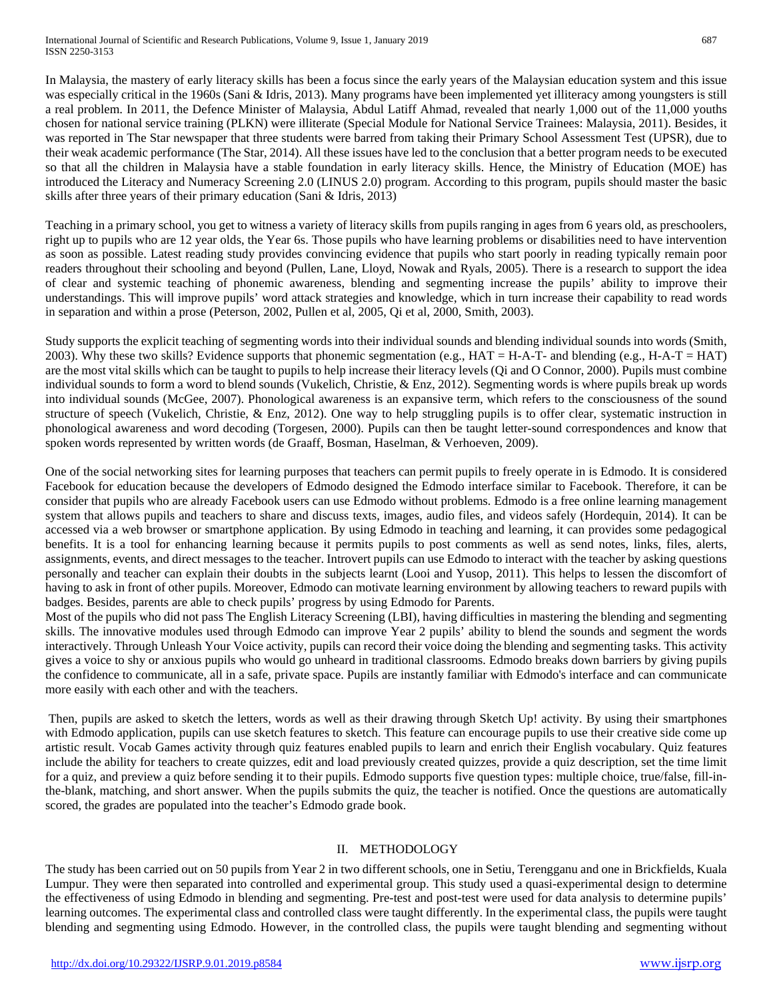In Malaysia, the mastery of early literacy skills has been a focus since the early years of the Malaysian education system and this issue was especially critical in the 1960s (Sani & Idris, 2013). Many programs have been implemented yet illiteracy among youngsters is still a real problem. In 2011, the Defence Minister of Malaysia, Abdul Latiff Ahmad, revealed that nearly 1,000 out of the 11,000 youths chosen for national service training (PLKN) were illiterate (Special Module for National Service Trainees: Malaysia, 2011). Besides, it was reported in The Star newspaper that three students were barred from taking their Primary School Assessment Test (UPSR), due to their weak academic performance (The Star, 2014). All these issues have led to the conclusion that a better program needs to be executed so that all the children in Malaysia have a stable foundation in early literacy skills. Hence, the Ministry of Education (MOE) has introduced the Literacy and Numeracy Screening 2.0 (LINUS 2.0) program. According to this program, pupils should master the basic skills after three years of their primary education (Sani & Idris, 2013)

Teaching in a primary school, you get to witness a variety of literacy skills from pupils ranging in ages from 6 years old, as preschoolers, right up to pupils who are 12 year olds, the Year 6s. Those pupils who have learning problems or disabilities need to have intervention as soon as possible. Latest reading study provides convincing evidence that pupils who start poorly in reading typically remain poor readers throughout their schooling and beyond (Pullen, Lane, Lloyd, Nowak and Ryals, 2005). There is a research to support the idea of clear and systemic teaching of phonemic awareness, blending and segmenting increase the pupils' ability to improve their understandings. This will improve pupils' word attack strategies and knowledge, which in turn increase their capability to read words in separation and within a prose (Peterson, 2002, Pullen et al, 2005, Qi et al, 2000, Smith, 2003).

Study supports the explicit teaching of segmenting words into their individual sounds and blending individual sounds into words (Smith, 2003). Why these two skills? Evidence supports that phonemic segmentation (e.g.,  $HAT = H-A-T$  and blending (e.g.,  $H-A-T = HAT$ ) are the most vital skills which can be taught to pupils to help increase their literacy levels (Qi and O Connor, 2000). Pupils must combine individual sounds to form a word to blend sounds (Vukelich, Christie, & Enz, 2012). Segmenting words is where pupils break up words into individual sounds (McGee, 2007). Phonological awareness is an expansive term, which refers to the consciousness of the sound structure of speech (Vukelich, Christie, & Enz, 2012). One way to help struggling pupils is to offer clear, systematic instruction in phonological awareness and word decoding (Torgesen, 2000). Pupils can then be taught letter-sound correspondences and know that spoken words represented by written words (de Graaff, Bosman, Haselman, & Verhoeven, 2009).

One of the social networking sites for learning purposes that teachers can permit pupils to freely operate in is Edmodo. It is considered Facebook for education because the developers of Edmodo designed the Edmodo interface similar to Facebook. Therefore, it can be consider that pupils who are already Facebook users can use Edmodo without problems. Edmodo is a free online learning management system that allows pupils and teachers to share and discuss texts, images, audio files, and videos safely (Hordequin, 2014). It can be accessed via a web browser or smartphone application. By using Edmodo in teaching and learning, it can provides some pedagogical benefits. It is a tool for enhancing learning because it permits pupils to post comments as well as send notes, links, files, alerts, assignments, events, and direct messages to the teacher. Introvert pupils can use Edmodo to interact with the teacher by asking questions personally and teacher can explain their doubts in the subjects learnt (Looi and Yusop, 2011). This helps to lessen the discomfort of having to ask in front of other pupils. Moreover, Edmodo can motivate learning environment by allowing teachers to reward pupils with badges. Besides, parents are able to check pupils' progress by using Edmodo for Parents.

Most of the pupils who did not pass The English Literacy Screening (LBI), having difficulties in mastering the blending and segmenting skills. The innovative modules used through Edmodo can improve Year 2 pupils' ability to blend the sounds and segment the words interactively. Through Unleash Your Voice activity, pupils can record their voice doing the blending and segmenting tasks. This activity gives a voice to shy or anxious pupils who would go unheard in traditional classrooms. Edmodo breaks down barriers by giving pupils the confidence to communicate, all in a safe, private space. Pupils are instantly familiar with Edmodo's interface and can communicate more easily with each other and with the teachers.

Then, pupils are asked to sketch the letters, words as well as their drawing through Sketch Up! activity. By using their smartphones with Edmodo application, pupils can use sketch features to sketch. This feature can encourage pupils to use their creative side come up artistic result. Vocab Games activity through quiz features enabled pupils to learn and enrich their English vocabulary. Quiz features include the ability for teachers to create quizzes, edit and load previously created quizzes, provide a quiz description, set the time limit for a quiz, and preview a quiz before sending it to their pupils. Edmodo supports five question types: multiple choice, true/false, fill-inthe-blank, matching, and short answer. When the pupils submits the quiz, the teacher is notified. Once the questions are automatically scored, the grades are populated into the teacher's Edmodo grade book.

# II. METHODOLOGY

The study has been carried out on 50 pupils from Year 2 in two different schools, one in Setiu, Terengganu and one in Brickfields, Kuala Lumpur. They were then separated into controlled and experimental group. This study used a quasi-experimental design to determine the effectiveness of using Edmodo in blending and segmenting. Pre-test and post-test were used for data analysis to determine pupils' learning outcomes. The experimental class and controlled class were taught differently. In the experimental class, the pupils were taught blending and segmenting using Edmodo. However, in the controlled class, the pupils were taught blending and segmenting without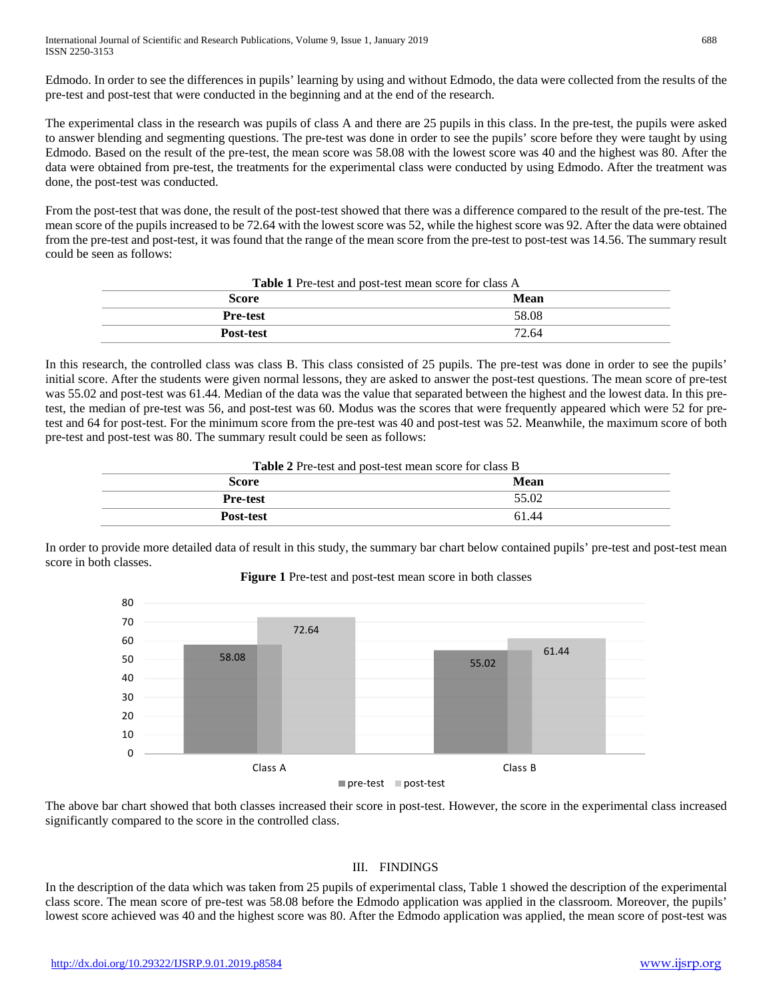Edmodo. In order to see the differences in pupils' learning by using and without Edmodo, the data were collected from the results of the pre-test and post-test that were conducted in the beginning and at the end of the research.

The experimental class in the research was pupils of class A and there are 25 pupils in this class. In the pre-test, the pupils were asked to answer blending and segmenting questions. The pre-test was done in order to see the pupils' score before they were taught by using Edmodo. Based on the result of the pre-test, the mean score was 58.08 with the lowest score was 40 and the highest was 80. After the data were obtained from pre-test, the treatments for the experimental class were conducted by using Edmodo. After the treatment was done, the post-test was conducted.

From the post-test that was done, the result of the post-test showed that there was a difference compared to the result of the pre-test. The mean score of the pupils increased to be 72.64 with the lowest score was 52, while the highest score was 92. After the data were obtained from the pre-test and post-test, it was found that the range of the mean score from the pre-test to post-test was 14.56. The summary result could be seen as follows:

| <b>Table 1</b> Pre-test and post-test mean score for class A |       |  |  |  |
|--------------------------------------------------------------|-------|--|--|--|
| Score                                                        | Mean  |  |  |  |
| <b>Pre-test</b>                                              | 58.08 |  |  |  |
| <b>Post-test</b>                                             | 72.64 |  |  |  |

In this research, the controlled class was class B. This class consisted of 25 pupils. The pre-test was done in order to see the pupils' initial score. After the students were given normal lessons, they are asked to answer the post-test questions. The mean score of pre-test was 55.02 and post-test was 61.44. Median of the data was the value that separated between the highest and the lowest data. In this pretest, the median of pre-test was 56, and post-test was 60. Modus was the scores that were frequently appeared which were 52 for pretest and 64 for post-test. For the minimum score from the pre-test was 40 and post-test was 52. Meanwhile, the maximum score of both pre-test and post-test was 80. The summary result could be seen as follows:

| <b>Table 2</b> Pre-test and post-test mean score for class B |       |  |  |  |
|--------------------------------------------------------------|-------|--|--|--|
| Score                                                        | Mean  |  |  |  |
| <b>Pre-test</b>                                              | 55.02 |  |  |  |
| <b>Post-test</b>                                             | 61.44 |  |  |  |
|                                                              |       |  |  |  |

In order to provide more detailed data of result in this study, the summary bar chart below contained pupils' pre-test and post-test mean score in both classes.



**Figure 1** Pre-test and post-test mean score in both classes

The above bar chart showed that both classes increased their score in post-test. However, the score in the experimental class increased significantly compared to the score in the controlled class.

#### III. FINDINGS

In the description of the data which was taken from 25 pupils of experimental class, Table 1 showed the description of the experimental class score. The mean score of pre-test was 58.08 before the Edmodo application was applied in the classroom. Moreover, the pupils' lowest score achieved was 40 and the highest score was 80. After the Edmodo application was applied, the mean score of post-test was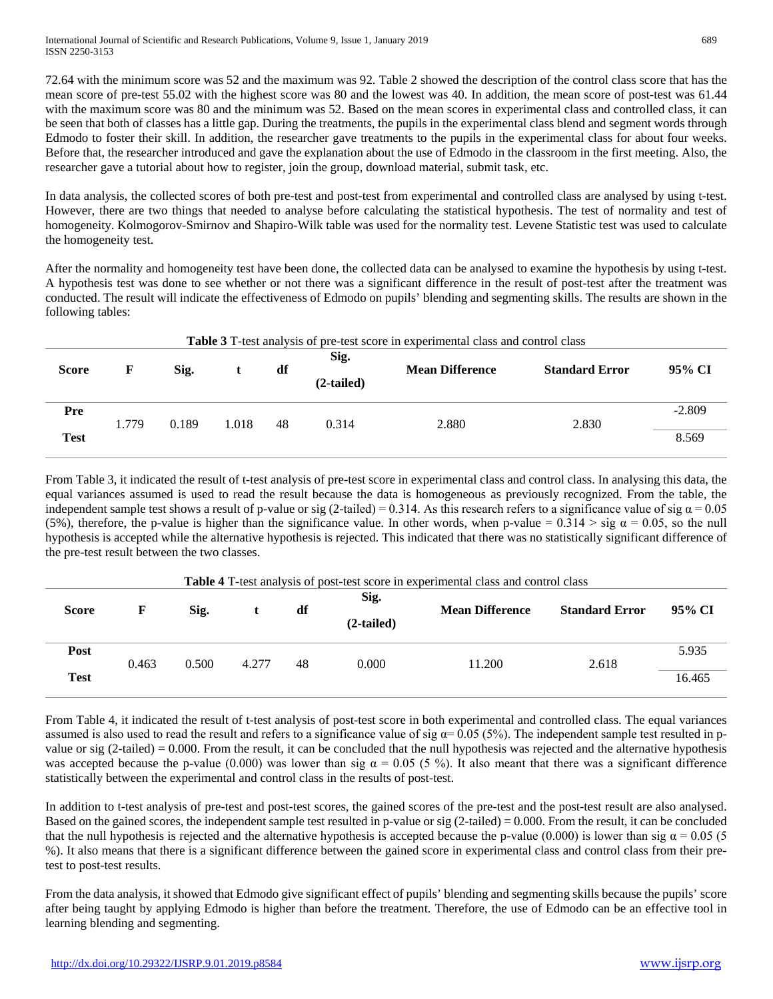72.64 with the minimum score was 52 and the maximum was 92. Table 2 showed the description of the control class score that has the mean score of pre-test 55.02 with the highest score was 80 and the lowest was 40. In addition, the mean score of post-test was 61.44 with the maximum score was 80 and the minimum was 52. Based on the mean scores in experimental class and controlled class, it can be seen that both of classes has a little gap. During the treatments, the pupils in the experimental class blend and segment words through Edmodo to foster their skill. In addition, the researcher gave treatments to the pupils in the experimental class for about four weeks. Before that, the researcher introduced and gave the explanation about the use of Edmodo in the classroom in the first meeting. Also, the researcher gave a tutorial about how to register, join the group, download material, submit task, etc.

In data analysis, the collected scores of both pre-test and post-test from experimental and controlled class are analysed by using t-test. However, there are two things that needed to analyse before calculating the statistical hypothesis. The test of normality and test of homogeneity. Kolmogorov-Smirnov and Shapiro-Wilk table was used for the normality test. Levene Statistic test was used to calculate the homogeneity test.

After the normality and homogeneity test have been done, the collected data can be analysed to examine the hypothesis by using t-test. A hypothesis test was done to see whether or not there was a significant difference in the result of post-test after the treatment was conducted. The result will indicate the effectiveness of Edmodo on pupils' blending and segmenting skills. The results are shown in the following tables:

| <b>Table 3</b> T-test analysis of pre-test score in experimental class and control class |       |       |       |    |                      |                        |                       |          |  |  |
|------------------------------------------------------------------------------------------|-------|-------|-------|----|----------------------|------------------------|-----------------------|----------|--|--|
| <b>Score</b>                                                                             | F     | Sig.  |       | df | Sig.<br>$(2-tailed)$ | <b>Mean Difference</b> | <b>Standard Error</b> | 95% CI   |  |  |
| Pre                                                                                      | 1.779 | 0.189 | 1.018 | 48 | 0.314                | 2.880                  | 2.830                 | $-2.809$ |  |  |
| <b>Test</b>                                                                              |       |       |       |    |                      |                        |                       | 8.569    |  |  |

From Table 3, it indicated the result of t-test analysis of pre-test score in experimental class and control class. In analysing this data, the equal variances assumed is used to read the result because the data is homogeneous as previously recognized. From the table, the independent sample test shows a result of p-value or sig (2-tailed) = 0.314. As this research refers to a significance value of sig  $\alpha$  = 0.05 (5%), therefore, the p-value is higher than the significance value. In other words, when p-value =  $0.314 > sig \alpha = 0.05$ , so the null hypothesis is accepted while the alternative hypothesis is rejected. This indicated that there was no statistically significant difference of the pre-test result between the two classes.

| Table 4 T-test analysis of post-test score in experimental class and control class |       |       |       |    |              |                        |                       |        |
|------------------------------------------------------------------------------------|-------|-------|-------|----|--------------|------------------------|-----------------------|--------|
| <b>Score</b>                                                                       | F     | Sig.  |       | df | Sig.         | <b>Mean Difference</b> | <b>Standard Error</b> | 95% CI |
|                                                                                    |       |       |       |    | $(2-tailed)$ |                        |                       |        |
| Post                                                                               | 0.463 | 0.500 | 4.277 | 48 | 0.000        | 11.200                 | 2.618                 | 5.935  |
| <b>Test</b>                                                                        |       |       |       |    |              |                        | 16.465                |        |

From Table 4, it indicated the result of t-test analysis of post-test score in both experimental and controlled class. The equal variances assumed is also used to read the result and refers to a significance value of sig  $\alpha$  = 0.05 (5%). The independent sample test resulted in pvalue or sig  $(2-tailed) = 0.000$ . From the result, it can be concluded that the null hypothesis was rejected and the alternative hypothesis was accepted because the p-value (0.000) was lower than sig  $\alpha = 0.05$  (5 %). It also meant that there was a significant difference statistically between the experimental and control class in the results of post-test.

In addition to t-test analysis of pre-test and post-test scores, the gained scores of the pre-test and the post-test result are also analysed. Based on the gained scores, the independent sample test resulted in p-value or sig  $(2$ -tailed) = 0.000. From the result, it can be concluded that the null hypothesis is rejected and the alternative hypothesis is accepted because the p-value (0.000) is lower than sig  $\alpha = 0.05$  (5) %). It also means that there is a significant difference between the gained score in experimental class and control class from their pretest to post-test results.

From the data analysis, it showed that Edmodo give significant effect of pupils' blending and segmenting skills because the pupils' score after being taught by applying Edmodo is higher than before the treatment. Therefore, the use of Edmodo can be an effective tool in learning blending and segmenting.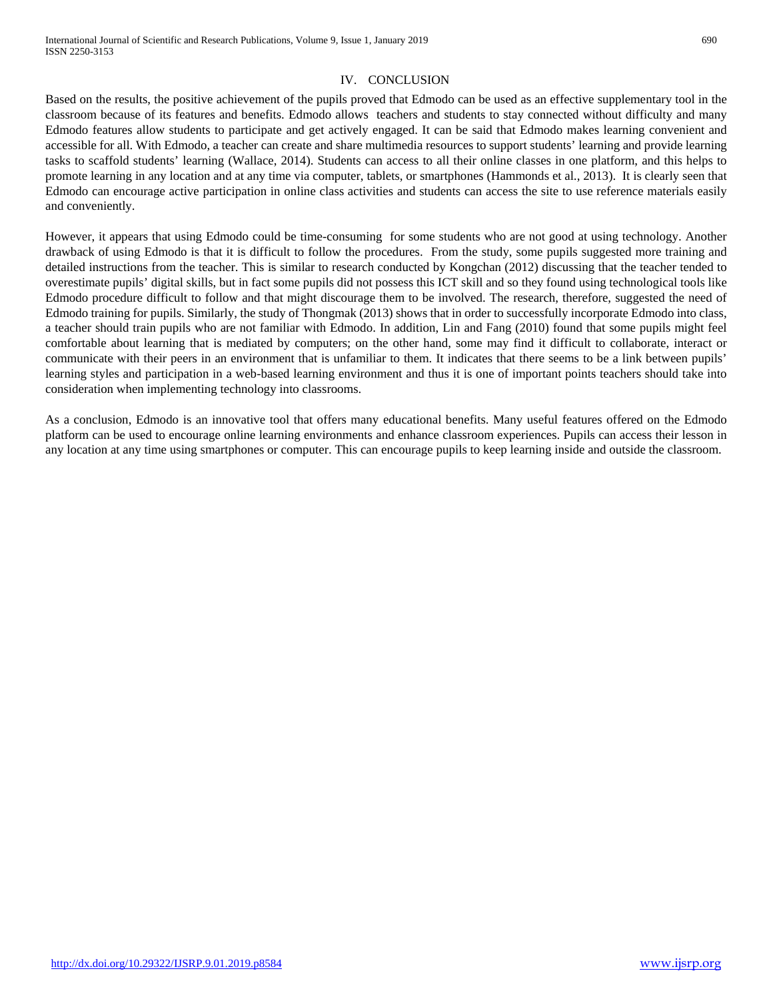### IV. CONCLUSION

Based on the results, the positive achievement of the pupils proved that Edmodo can be used as an effective supplementary tool in the classroom because of its features and benefits. Edmodo allows teachers and students to stay connected without difficulty and many Edmodo features allow students to participate and get actively engaged. It can be said that Edmodo makes learning convenient and accessible for all. With Edmodo, a teacher can create and share multimedia resources to support students' learning and provide learning tasks to scaffold students' learning (Wallace, 2014). Students can access to all their online classes in one platform, and this helps to promote learning in any location and at any time via computer, tablets, or smartphones (Hammonds et al., 2013). It is clearly seen that Edmodo can encourage active participation in online class activities and students can access the site to use reference materials easily and conveniently.

However, it appears that using Edmodo could be time-consuming for some students who are not good at using technology. Another drawback of using Edmodo is that it is difficult to follow the procedures. From the study, some pupils suggested more training and detailed instructions from the teacher. This is similar to research conducted by Kongchan (2012) discussing that the teacher tended to overestimate pupils' digital skills, but in fact some pupils did not possess this ICT skill and so they found using technological tools like Edmodo procedure difficult to follow and that might discourage them to be involved. The research, therefore, suggested the need of Edmodo training for pupils. Similarly, the study of Thongmak (2013) shows that in order to successfully incorporate Edmodo into class, a teacher should train pupils who are not familiar with Edmodo. In addition, Lin and Fang (2010) found that some pupils might feel comfortable about learning that is mediated by computers; on the other hand, some may find it difficult to collaborate, interact or communicate with their peers in an environment that is unfamiliar to them. It indicates that there seems to be a link between pupils' learning styles and participation in a web-based learning environment and thus it is one of important points teachers should take into consideration when implementing technology into classrooms.

As a conclusion, Edmodo is an innovative tool that offers many educational benefits. Many useful features offered on the Edmodo platform can be used to encourage online learning environments and enhance classroom experiences. Pupils can access their lesson in any location at any time using smartphones or computer. This can encourage pupils to keep learning inside and outside the classroom.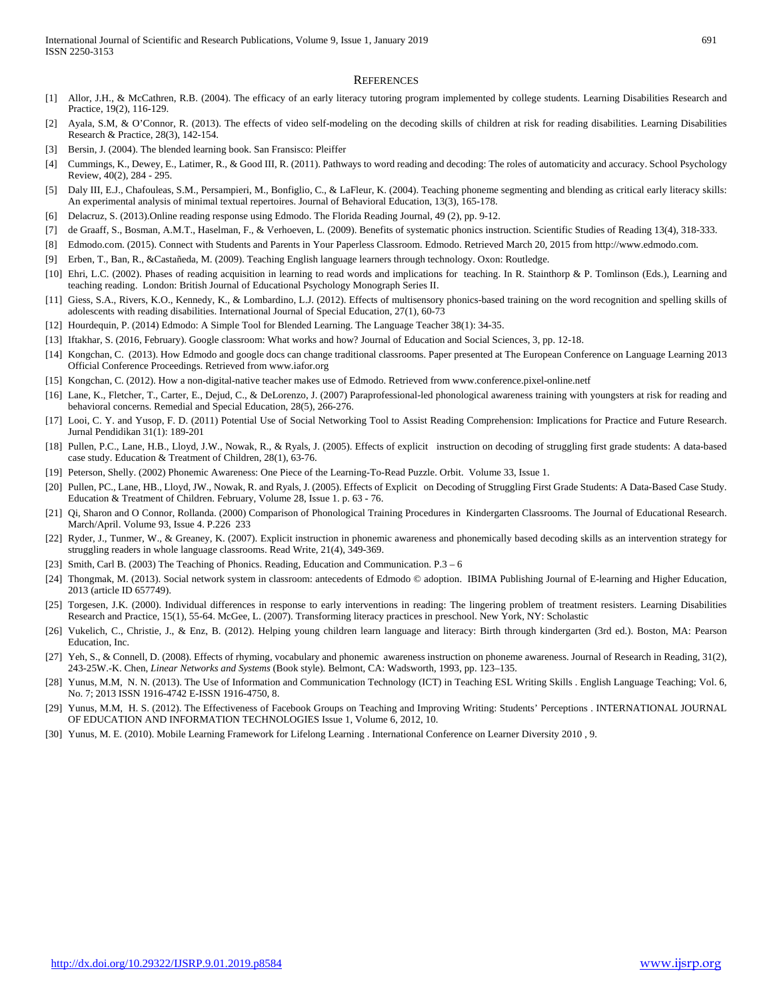#### **REFERENCES**

- [1] Allor, J.H., & McCathren, R.B. (2004). The efficacy of an early literacy tutoring program implemented by college students. Learning Disabilities Research and Practice, 19(2), 116-129.
- [2] Ayala, S.M, & O'Connor, R. (2013). The effects of video self-modeling on the decoding skills of children at risk for reading disabilities. Learning Disabilities Research & Practice, 28(3), 142-154.
- [3] Bersin, J. (2004). The blended learning book. San Fransisco: Pleiffer
- [4] Cummings, K., Dewey, E., Latimer, R., & Good III, R. (2011). Pathways to word reading and decoding: The roles of automaticity and accuracy. School Psychology Review, 40(2), 284 - 295.
- [5] Daly III, E.J., Chafouleas, S.M., Persampieri, M., Bonfiglio, C., & LaFleur, K. (2004). Teaching phoneme segmenting and blending as critical early literacy skills: An experimental analysis of minimal textual repertoires. Journal of Behavioral Education, 13(3), 165-178.
- [6] Delacruz, S. (2013).Online reading response using Edmodo. The Florida Reading Journal, 49 (2), pp. 9-12.
- [7] de Graaff, S., Bosman, A.M.T., Haselman, F., & Verhoeven, L. (2009). Benefits of systematic phonics instruction. Scientific Studies of Reading 13(4), 318-333.
- [8] Edmodo.com. (2015). Connect with Students and Parents in Your Paperless Classroom. Edmodo. Retrieved March 20, 2015 from http://www.edmodo.com.
- [9] Erben, T., Ban, R., &Castañeda, M. (2009). Teaching English language learners through technology. Oxon: Routledge.
- [10] Ehri, L.C. (2002). Phases of reading acquisition in learning to read words and implications for teaching. In R. Stainthorp & P. Tomlinson (Eds.), Learning and teaching reading. London: British Journal of Educational Psychology Monograph Series II.
- [11] Giess, S.A., Rivers, K.O., Kennedy, K., & Lombardino, L.J. (2012). Effects of multisensory phonics-based training on the word recognition and spelling skills of adolescents with reading disabilities. International Journal of Special Education, 27(1), 60-73
- [12] Hourdequin, P. (2014) Edmodo: A Simple Tool for Blended Learning. The Language Teacher 38(1): 34-35.
- [13] Iftakhar, S. (2016, February). Google classroom: What works and how? Journal of Education and Social Sciences, 3, pp. 12-18.
- [14] Kongchan, C. (2013). How Edmodo and google docs can change traditional classrooms. Paper presented at The European Conference on Language Learning 2013 Official Conference Proceedings. Retrieved from www.iafor.org
- [15] Kongchan, C. (2012). How a non-digital-native teacher makes use of Edmodo. Retrieved from www.conference.pixel-online.netf
- [16] Lane, K., Fletcher, T., Carter, E., Dejud, C., & DeLorenzo, J. (2007) Paraprofessional-led phonological awareness training with youngsters at risk for reading and behavioral concerns. Remedial and Special Education, 28(5), 266-276.
- [17] Looi, C. Y. and Yusop, F. D. (2011) Potential Use of Social Networking Tool to Assist Reading Comprehension: Implications for Practice and Future Research. Jurnal Pendidikan 31(1): 189-201
- [18] Pullen, P.C., Lane, H.B., Lloyd, J.W., Nowak, R., & Ryals, J. (2005). Effects of explicit instruction on decoding of struggling first grade students: A data-based case study. Education & Treatment of Children, 28(1), 63-76.
- [19] Peterson, Shelly. (2002) Phonemic Awareness: One Piece of the Learning-To-Read Puzzle. Orbit. Volume 33, Issue 1.
- [20] Pullen, PC., Lane, HB., Lloyd, JW., Nowak, R. and Ryals, J. (2005). Effects of Explicit on Decoding of Struggling First Grade Students: A Data-Based Case Study. Education & Treatment of Children. February, Volume 28, Issue 1. p. 63 - 76.
- [21] Qi, Sharon and O Connor, Rollanda. (2000) Comparison of Phonological Training Procedures in Kindergarten Classrooms. The Journal of Educational Research. March/April. Volume 93, Issue 4. P.226 233
- [22] Ryder, J., Tunmer, W., & Greaney, K. (2007). Explicit instruction in phonemic awareness and phonemically based decoding skills as an intervention strategy for struggling readers in whole language classrooms. Read Write, 21(4), 349-369.
- [23] Smith, Carl B. (2003) The Teaching of Phonics. Reading, Education and Communication. P.3 6
- [24] Thongmak, M. (2013). Social network system in classroom: antecedents of Edmodo © adoption. IBIMA Publishing Journal of E-learning and Higher Education, 2013 (article ID 657749).
- [25] Torgesen, J.K. (2000). Individual differences in response to early interventions in reading: The lingering problem of treatment resisters. Learning Disabilities Research and Practice, 15(1), 55-64. McGee, L. (2007). Transforming literacy practices in preschool. New York, NY: Scholastic
- [26] Vukelich, C., Christie, J., & Enz, B. (2012). Helping young children learn language and literacy: Birth through kindergarten (3rd ed.). Boston, MA: Pearson Education, Inc.
- [27] Yeh, S., & Connell, D. (2008). Effects of rhyming, vocabulary and phonemic awareness instruction on phoneme awareness. Journal of Research in Reading, 31(2), 243-25W.-K. Chen, *Linear Networks and Systems* (Book style)*.* Belmont, CA: Wadsworth, 1993, pp. 123–135.
- [28] Yunus, M.M, N. N. (2013). The Use of Information and Communication Technology (ICT) in Teaching ESL Writing Skills . English Language Teaching; Vol. 6, No. 7; 2013 ISSN 1916-4742 E-ISSN 1916-4750, 8.
- [29] Yunus, M.M, H. S. (2012). The Effectiveness of Facebook Groups on Teaching and Improving Writing: Students' Perceptions . INTERNATIONAL JOURNAL OF EDUCATION AND INFORMATION TECHNOLOGIES Issue 1, Volume 6, 2012, 10.
- [30] Yunus, M. E. (2010). Mobile Learning Framework for Lifelong Learning . International Conference on Learner Diversity 2010 , 9.